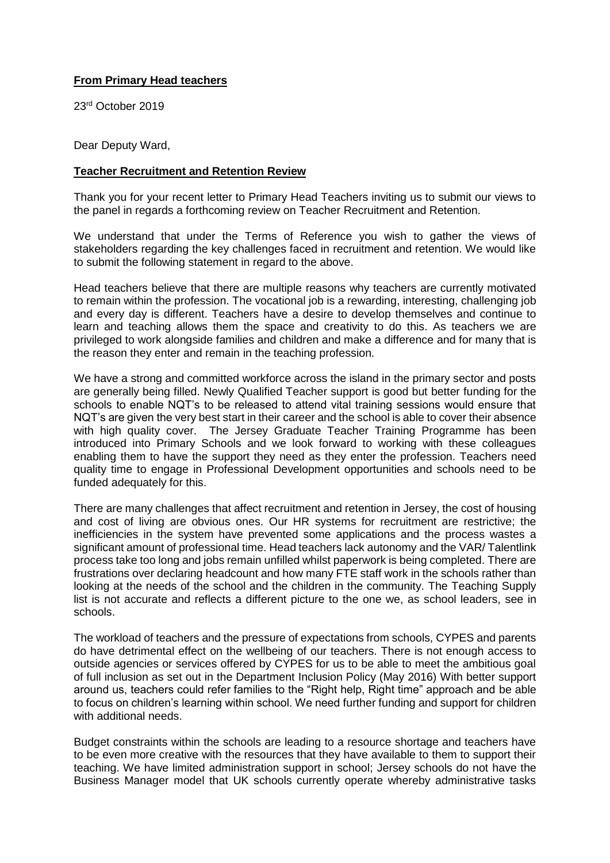## **From Primary Head teachers**

23rd October 2019

Dear Deputy Ward,

## **Teacher Recruitment and Retention Review**

Thank you for your recent letter to Primary Head Teachers inviting us to submit our views to the panel in regards a forthcoming review on Teacher Recruitment and Retention.

We understand that under the Terms of Reference you wish to gather the views of stakeholders regarding the key challenges faced in recruitment and retention. We would like to submit the following statement in regard to the above.

Head teachers believe that there are multiple reasons why teachers are currently motivated to remain within the profession. The vocational job is a rewarding, interesting, challenging job and every day is different. Teachers have a desire to develop themselves and continue to learn and teaching allows them the space and creativity to do this. As teachers we are privileged to work alongside families and children and make a difference and for many that is the reason they enter and remain in the teaching profession.

We have a strong and committed workforce across the island in the primary sector and posts are generally being filled. Newly Qualified Teacher support is good but better funding for the schools to enable NQT's to be released to attend vital training sessions would ensure that NQT's are given the very best start in their career and the school is able to cover their absence with high quality cover. The Jersey Graduate Teacher Training Programme has been introduced into Primary Schools and we look forward to working with these colleagues enabling them to have the support they need as they enter the profession. Teachers need quality time to engage in Professional Development opportunities and schools need to be funded adequately for this.

There are many challenges that affect recruitment and retention in Jersey, the cost of housing and cost of living are obvious ones. Our HR systems for recruitment are restrictive; the inefficiencies in the system have prevented some applications and the process wastes a significant amount of professional time. Head teachers lack autonomy and the VAR/ Talentlink process take too long and jobs remain unfilled whilst paperwork is being completed. There are frustrations over declaring headcount and how many FTE staff work in the schools rather than looking at the needs of the school and the children in the community. The Teaching Supply list is not accurate and reflects a different picture to the one we, as school leaders, see in schools.

The workload of teachers and the pressure of expectations from schools, CYPES and parents do have detrimental effect on the wellbeing of our teachers. There is not enough access to outside agencies or services offered by CYPES for us to be able to meet the ambitious goal of full inclusion as set out in the Department Inclusion Policy (May 2016) With better support around us, teachers could refer families to the "Right help, Right time" approach and be able to focus on children's learning within school. We need further funding and support for children with additional needs.

Budget constraints within the schools are leading to a resource shortage and teachers have to be even more creative with the resources that they have available to them to support their teaching. We have limited administration support in school; Jersey schools do not have the Business Manager model that UK schools currently operate whereby administrative tasks